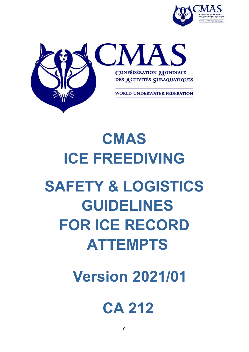



# **CMAS ICE FREEDIVING SAFETY & LOGISTICS GUIDELINES FOR ICE RECORD ATTEMPTS**

 **Version 2021/01**

# **CA 212**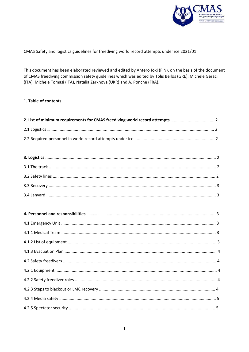

CMAS Safety and logistics guidelines for freediving world record attempts under ice 2021/01

This document has been elaborated reviewed and edited by Antero Joki (FIN), on the basis of the document of CMAS freediving commission safety guidelines which was edited by Tolis Bellos (GRE), Michele Geraci (ITA), Michele Tomasi (ITA), Natalia Zarkhova (UKR) and A. Ponche (FRA).

# 1. Table of contents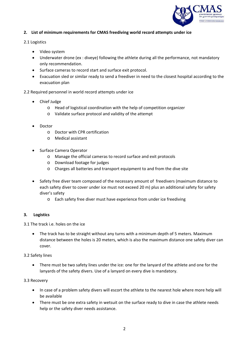

# **2. List of minimum requirements for CMAS freediving world record attempts under ice**

#### 2.1 Logistics

- Video system
- Underwater drone (ex : diveye) following the athlete during all the performance, not mandatory only recommendation.
- Surface cameras to record start and surface exit protocol.
- Evacuation sled or similar ready to send a freediver in need to the closest hospital according to the evacuation plan

# 2.2 Required personnel in world record attempts under ice

- Chief Judge
	- o Head of logistical coordination with the help of competition organizer
	- o Validate surface protocol and validity of the attempt
- Doctor
	- o Doctor with CPR certification
	- o Medical assistant
- Surface Camera Operator
	- o Manage the official cameras to record surface and exit protocols
	- o Download footage for judges
	- o Charges all batteries and transport equipment to and from the dive site
- Safety free diver team composed of the necessary amount of freedivers (maximum distance to each safety diver to cover under ice must not exceed 20 m) plus an additional safety for safety diver's safety
	- o Each safety free diver must have experience from under ice freediving

#### **3. Logistics**

3.1 The track i.e. holes on the ice

 The track has to be straight without any turns with a minimum depth of 5 meters. Maximum distance between the holes is 20 meters, which is also the maximum distance one safety diver can cover.

#### 3.2 Safety lines

 There must be two safety lines under the ice: one for the lanyard of the athlete and one for the lanyards of the safety divers. Use of a lanyard on every dive is mandatory.

#### 3.3 Recovery

- In case of a problem safety divers will escort the athlete to the nearest hole where more help will be available
- There must be one extra safety in wetsuit on the surface ready to dive in case the athlete needs help or the safety diver needs assistance.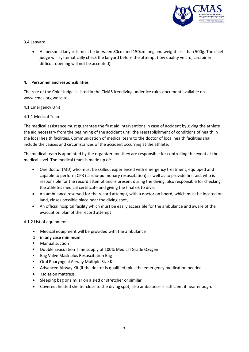

# 3.4 Lanyard

 All personal lanyards must be between 80cm and 150cm long and weight less than 500g. The chief judge will systematically check the lanyard before the attempt (low quality velcro, carabiner difficult opening will not be accepted).

# **4. Personnel and responsibilities**

The role of the Chief Judge is listed in the CMAS freediving under ice rules document available on www.cmas.org website.

# 4.1 Emergency Unit

# 4.1.1 Medical Team

The medical assistance must guarantee the first aid interventions in case of accident by giving the athlete the aid necessary from the beginning of the accident until the reestablishment of conditions of health in the local health facilities. Communication of medical team to the doctor of local health facilities shall include the causes and circumstances of the accident occurring at the athlete.

The medical team is appointed by the organizer and they are responsible for controlling the event at the medical level. The medical team is made up of:

- One doctor (MD) who must be skilled, experienced with emergency treatment, equipped and capable to perform CPR (cardio‐pulmonary resuscitation) as well as to provide first aid, who is responsible for the record attempt and is present during the diving, also responsible for checking the athletes medical certificate and giving the final ok to dive,
- An ambulance reserved for the record attempt, with a doctor on board, which must be located on land, closes possible place near the diving spot,
- An official hospital facility which must be easily accessible for the ambulance and aware of the evacuation plan of the record attempt

#### 4.1.2 List of equipment

- Medical equipment will be provided with the ambulance
- o **in any case minimum**
- Manual suction
- **Double Evacuation Time supply of 100% Medical Grade Oxygen**
- **Bag Valve Mask plus Resuscitation Bag**
- Oral Pharyngeal Airway Multiple Size Kit
- Advanced Airway Kit (if the doctor is qualified) plus the emergency medication needed
- Isolation mattress
- Sleeping bag or similar on a sled or stretcher or similar
- Covered, heated shelter close to the diving spot, also ambulance is sufficient if near enough.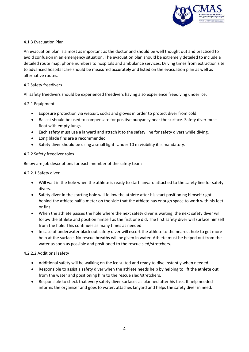

# 4.1.3 Evacuation Plan

An evacuation plan is almost as important as the doctor and should be well thought out and practiced to avoid confusion in an emergency situation. The evacuation plan should be extremely detailed to include a detailed route map, phone numbers to hospitals and ambulance services. Driving times from extraction site to advanced hospital care should be measured accurately and listed on the evacuation plan as well as alternative routes.

#### 4.2 Safety freedivers

All safety freedivers should be experienced freedivers having also experience freediving under ice.

# 4.2.1 Equipment

- Exposure protection via wetsuit, socks and gloves in order to protect diver from cold.
- Ballast should be used to compensate for positive buoyancy near the surface. Safety diver must float with empty lungs.
- Each safety must use a lanyard and attach it to the safety line for safety divers while diving.
- Long blade fins are a recommended
- Safety diver should be using a small light. Under 10 m visibility it is mandatory.

# 4.2.2 Safety freediver roles

Below are job descriptions for each member of the safety team

#### 4.2.2.1 Safety diver

- Will wait in the hole when the athlete is ready to start lanyard attached to the safety line for safety divers.
- Safety diver in the starting hole will follow the athlete after his start positioning himself right behind the athlete half a meter on the side that the athlete has enough space to work with his feet or fins.
- When the athlete passes the hole where the next safety diver is waiting, the next safety diver will follow the athlete and position himself as the first one did. The first safety diver will surface himself from the hole. This continues as many times as needed.
- In case of underwater black out safety diver will escort the athlete to the nearest hole to get more help at the surface. No rescue breaths will be given in water. Athlete must be helped out from the water as soon as possible and positioned to the rescue sled/stretchers.

#### 4.2.2.2 Additional safety

- Additional safety will be walking on the ice suited and ready to dive instantly when needed
- Responsible to assist a safety diver when the athlete needs help by helping to lift the athlete out from the water and positioning him to the rescue sled/stretchers.
- Responsible to check that every safety diver surfaces as planned after his task. If help needed informs the organiser and goes to water, attaches lanyard and helps the safety diver in need.